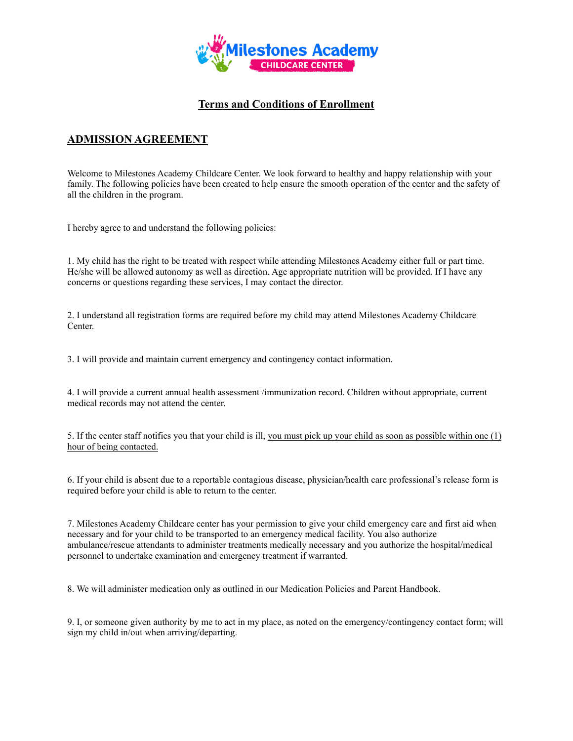

## **Terms and Conditions of Enrollment**

# **ADMISSION AGREEMENT**

Welcome to Milestones Academy Childcare Center. We look forward to healthy and happy relationship with your family. The following policies have been created to help ensure the smooth operation of the center and the safety of all the children in the program.

I hereby agree to and understand the following policies:

1. My child has the right to be treated with respect while attending Milestones Academy either full or part time. He/she will be allowed autonomy as well as direction. Age appropriate nutrition will be provided. If I have any concerns or questions regarding these services, I may contact the director.

2. I understand all registration forms are required before my child may attend Milestones Academy Childcare Center.

3. I will provide and maintain current emergency and contingency contact information.

4. I will provide a current annual health assessment /immunization record. Children without appropriate, current medical records may not attend the center.

5. If the center staff notifies you that your child is ill, you must pick up your child as soon as possible within one (1) hour of being contacted.

6. If your child is absent due to a reportable contagious disease, physician/health care professional's release form is required before your child is able to return to the center.

7. Milestones Academy Childcare center has your permission to give your child emergency care and first aid when necessary and for your child to be transported to an emergency medical facility. You also authorize ambulance/rescue attendants to administer treatments medically necessary and you authorize the hospital/medical personnel to undertake examination and emergency treatment if warranted.

8. We will administer medication only as outlined in our Medication Policies and Parent Handbook.

9. I, or someone given authority by me to act in my place, as noted on the emergency/contingency contact form; will sign my child in/out when arriving/departing.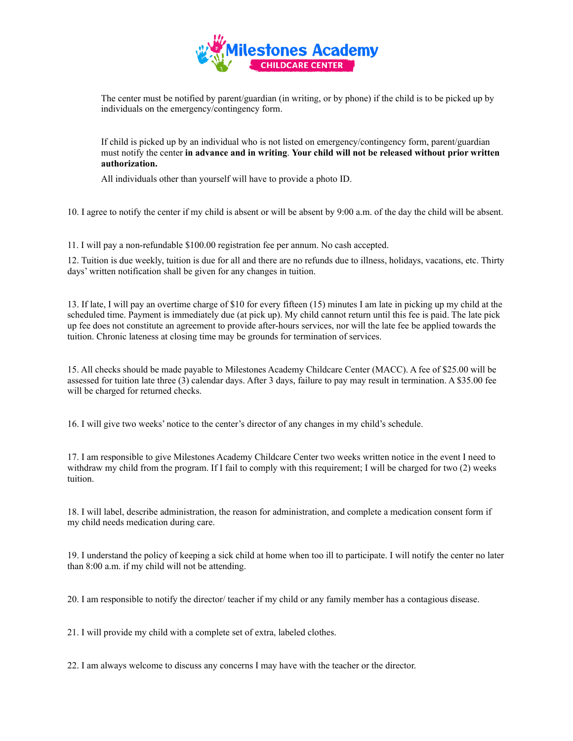

The center must be notified by parent/guardian (in writing, or by phone) if the child is to be picked up by individuals on the emergency/contingency form.

If child is picked up by an individual who is not listed on emergency/contingency form, parent/guardian must notify the center **in advance and in writing**. **Your child will not be released without prior written authorization.**

All individuals other than yourself will have to provide a photo ID.

10. I agree to notify the center if my child is absent or will be absent by 9:00 a.m. of the day the child will be absent.

11. I will pay a non-refundable \$100.00 registration fee per annum. No cash accepted.

12. Tuition is due weekly, tuition is due for all and there are no refunds due to illness, holidays, vacations, etc. Thirty days' written notification shall be given for any changes in tuition.

13. If late, I will pay an overtime charge of \$10 for every fifteen (15) minutes I am late in picking up my child at the scheduled time. Payment is immediately due (at pick up). My child cannot return until this fee is paid. The late pick up fee does not constitute an agreement to provide after-hours services, nor will the late fee be applied towards the tuition. Chronic lateness at closing time may be grounds for termination of services.

15. All checks should be made payable to Milestones Academy Childcare Center (MACC). A fee of \$25.00 will be assessed for tuition late three (3) calendar days. After 3 days, failure to pay may result in termination. A \$35.00 fee will be charged for returned checks.

16. I will give two weeks' notice to the center's director of any changes in my child's schedule.

17. I am responsible to give Milestones Academy Childcare Center two weeks written notice in the event I need to withdraw my child from the program. If I fail to comply with this requirement; I will be charged for two (2) weeks tuition.

18. I will label, describe administration, the reason for administration, and complete a medication consent form if my child needs medication during care.

19. I understand the policy of keeping a sick child at home when too ill to participate. I will notify the center no later than 8:00 a.m. if my child will not be attending.

20. I am responsible to notify the director/ teacher if my child or any family member has a contagious disease.

21. I will provide my child with a complete set of extra, labeled clothes.

22. I am always welcome to discuss any concerns I may have with the teacher or the director.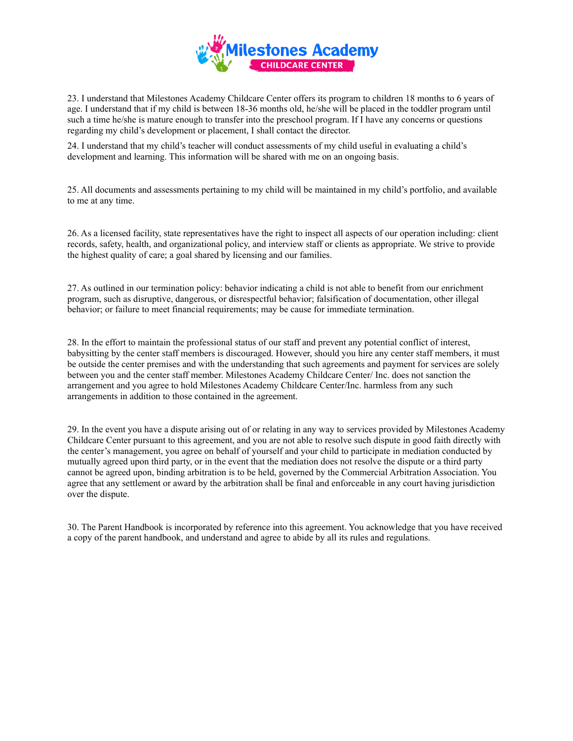

23. I understand that Milestones Academy Childcare Center offers its program to children 18 months to 6 years of age. I understand that if my child is between 18-36 months old, he/she will be placed in the toddler program until such a time he/she is mature enough to transfer into the preschool program. If I have any concerns or questions regarding my child's development or placement, I shall contact the director.

24. I understand that my child's teacher will conduct assessments of my child useful in evaluating a child's development and learning. This information will be shared with me on an ongoing basis.

25. All documents and assessments pertaining to my child will be maintained in my child's portfolio, and available to me at any time.

26. As a licensed facility, state representatives have the right to inspect all aspects of our operation including: client records, safety, health, and organizational policy, and interview staff or clients as appropriate. We strive to provide the highest quality of care; a goal shared by licensing and our families.

27. As outlined in our termination policy: behavior indicating a child is not able to benefit from our enrichment program, such as disruptive, dangerous, or disrespectful behavior; falsification of documentation, other illegal behavior; or failure to meet financial requirements; may be cause for immediate termination.

28. In the effort to maintain the professional status of our staff and prevent any potential conflict of interest, babysitting by the center staff members is discouraged. However, should you hire any center staff members, it must be outside the center premises and with the understanding that such agreements and payment for services are solely between you and the center staff member. Milestones Academy Childcare Center/ Inc. does not sanction the arrangement and you agree to hold Milestones Academy Childcare Center/Inc. harmless from any such arrangements in addition to those contained in the agreement.

29. In the event you have a dispute arising out of or relating in any way to services provided by Milestones Academy Childcare Center pursuant to this agreement, and you are not able to resolve such dispute in good faith directly with the center's management, you agree on behalf of yourself and your child to participate in mediation conducted by mutually agreed upon third party, or in the event that the mediation does not resolve the dispute or a third party cannot be agreed upon, binding arbitration is to be held, governed by the Commercial Arbitration Association. You agree that any settlement or award by the arbitration shall be final and enforceable in any court having jurisdiction over the dispute.

30. The Parent Handbook is incorporated by reference into this agreement. You acknowledge that you have received a copy of the parent handbook, and understand and agree to abide by all its rules and regulations.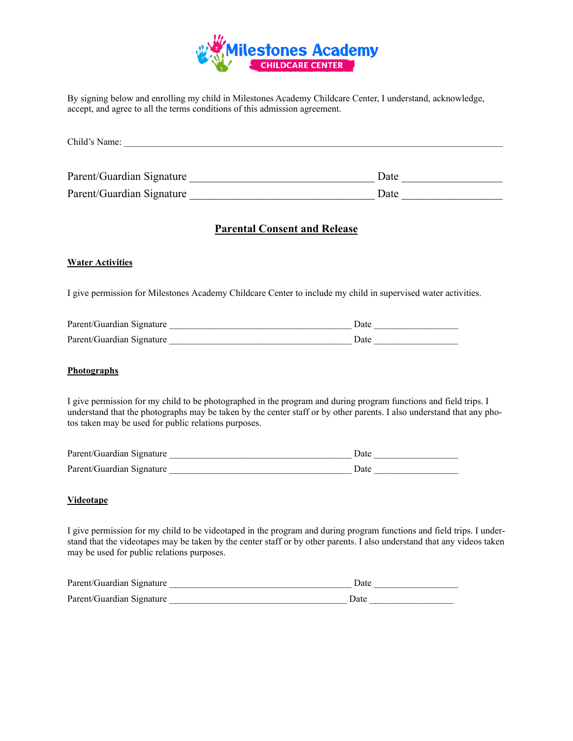

By signing below and enrolling my child in Milestones Academy Childcare Center, I understand, acknowledge, accept, and agree to all the terms conditions of this admission agreement.

| Child's Name:             |      |
|---------------------------|------|
|                           |      |
| Parent/Guardian Signature | Date |

Parent/Guardian Signature \_\_\_\_\_\_\_\_\_\_\_\_\_\_\_\_\_\_\_\_\_\_\_\_\_\_\_\_\_\_\_\_\_ Date \_\_\_\_\_\_\_\_\_\_\_\_\_\_\_\_\_\_

## **Parental Consent and Release**

### **Water Activities**

I give permission for Milestones Academy Childcare Center to include my child in supervised water activities.

| Parent/Guardian Signature | )ate  |
|---------------------------|-------|
| Parent/Guardian Signature | `)ate |

### **Photographs**

I give permission for my child to be photographed in the program and during program functions and field trips. I understand that the photographs may be taken by the center staff or by other parents. I also understand that any photos taken may be used for public relations purposes.

| Parent/Guardian Signature | )ate        |
|---------------------------|-------------|
| Parent/Guardian Signature | <b>Date</b> |

### **Videotape**

I give permission for my child to be videotaped in the program and during program functions and field trips. I understand that the videotapes may be taken by the center staff or by other parents. I also understand that any videos taken may be used for public relations purposes.

| Parent/Guardian Signature | `)ate |
|---------------------------|-------|
| Parent/Guardian Signature | Jate. |